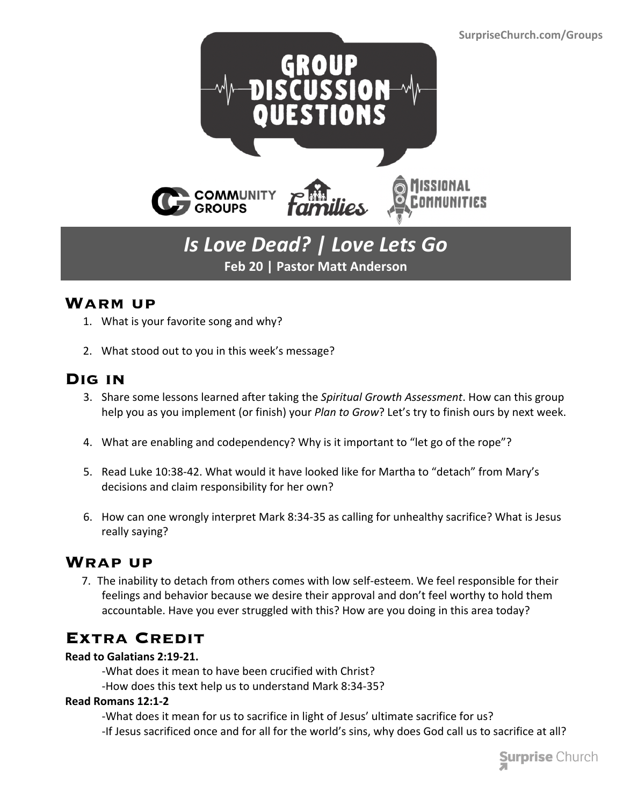

# *Is Love Dead? | Love Lets Go* **Feb 20 | Pastor Matt Anderson**

### **Warm up**

- 1. What is your favorite song and why?
- 2. What stood out to you in this week's message?

## **Dig in**

- 3. Share some lessons learned after taking the *Spiritual Growth Assessment*. How can this group help you as you implement (or finish) your *Plan to Grow*? Let's try to finish ours by next week.
- 4. What are enabling and codependency? Why is it important to "let go of the rope"?
- 5. Read Luke 10:38-42. What would it have looked like for Martha to "detach" from Mary's decisions and claim responsibility for her own?
- 6. How can one wrongly interpret Mark 8:34-35 as calling for unhealthy sacrifice? What is Jesus really saying?

### **Wrap up**

 7. The inability to detach from others comes with low self-esteem. We feel responsible for their feelings and behavior because we desire their approval and don't feel worthy to hold them accountable. Have you ever struggled with this? How are you doing in this area today?

## **Extra Credit**

#### **Read to Galatians 2:19-21.**

- -What does it mean to have been crucified with Christ?
- -How does this text help us to understand Mark 8:34-35?

#### **Read Romans 12:1-2**

- -What does it mean for us to sacrifice in light of Jesus' ultimate sacrifice for us?
- -If Jesus sacrificed once and for all for the world's sins, why does God call us to sacrifice at all?